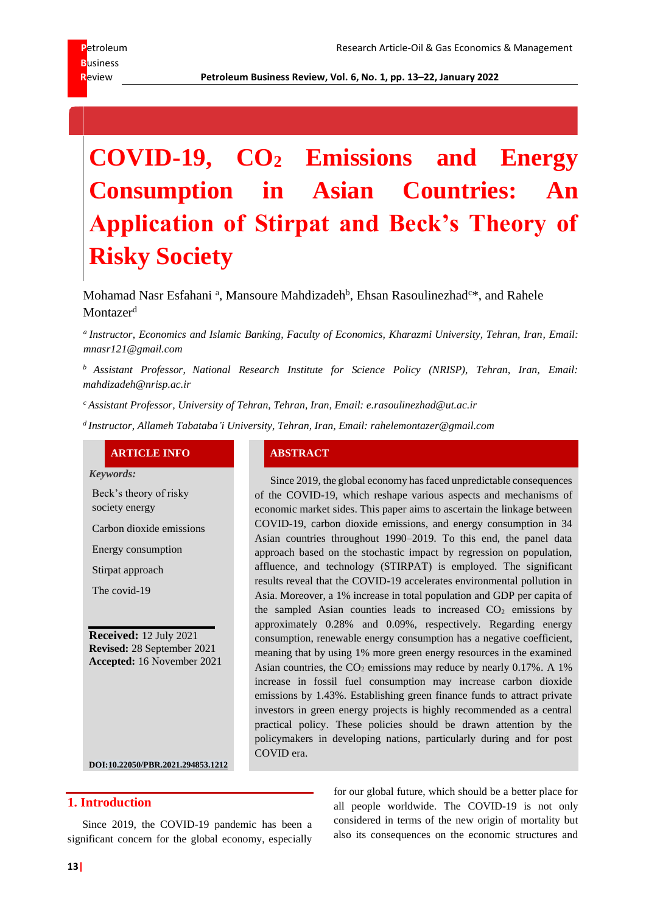**R**eview **Petroleum Business Review, Vol. 6, No. 1, pp. 13–22, January 2022**

# **COVID-19, CO<sup>2</sup> Emissions and Energy Consumption in Asian Countries: An Application of Stirpat and Beck's Theory of Risky Society**

# Mohamad Nasr Esfahani<sup>a</sup>, Mansoure Mahdizadeh<sup>b</sup>, Ehsan Rasoulinezhad<sup>c\*</sup>, and Rahele Montazer<sup>d</sup>

*a Instructor, Economics and Islamic Banking, Faculty of Economics, Kharazmi University, Tehran, Iran, Email: mnasr121@gmail.com*

*<sup>b</sup> Assistant Professor, National Research Institute for Science Policy (NRISP), Tehran, Iran, Email: mahdizadeh@nrisp.ac.ir*

*<sup>c</sup> Assistant Professor, University of Tehran, Tehran, Iran, Email: e.rasoulinezhad@ut.ac.ir*

*d Instructor, Allameh Tabataba'i University, Tehran, Iran, Email: rahelemontazer@gmail.com*

### **ARTICLE INFO ABSTRACT**

*Keywords:*

Beck's theory of risky society energy

Carbon dioxide emissions

Energy consumption

Stirpat approach

The covid-19

**Received:** 12 July 2021 **Revised:** 28 September 2021 **Accepted:** 16 November 2021

Since 2019, the global economy has faced unpredictable consequences of the COVID-19, which reshape various aspects and mechanisms of economic market sides. This paper aims to ascertain the linkage between COVID-19, carbon dioxide emissions, and energy consumption in 34 Asian countries throughout 1990–2019. To this end, the panel data approach based on the stochastic impact by regression on population, affluence, and technology (STIRPAT) is employed. The significant results reveal that the COVID-19 accelerates environmental pollution in Asia. Moreover, a 1% increase in total population and GDP per capita of the sampled Asian counties leads to increased  $CO<sub>2</sub>$  emissions by approximately 0.28% and 0.09%, respectively. Regarding energy consumption, renewable energy consumption has a negative coefficient, meaning that by using 1% more green energy resources in the examined Asian countries, the  $CO<sub>2</sub>$  emissions may reduce by nearly 0.17%. A 1% increase in fossil fuel consumption may increase carbon dioxide emissions by 1.43%. Establishing green finance funds to attract private investors in green energy projects is highly recommended as a central practical policy. These policies should be drawn attention by the policymakers in developing nations, particularly during and for post COVID era.

**DOI:10.22050/PBR.2021.294853.1212**

## **1. Introduction**

Since 2019, the COVID-19 pandemic has been a significant concern for the global economy, especially for our global future, which should be a better place for all people worldwide. The COVID-19 is not only considered in terms of the new origin of mortality but also its consequences on the economic structures and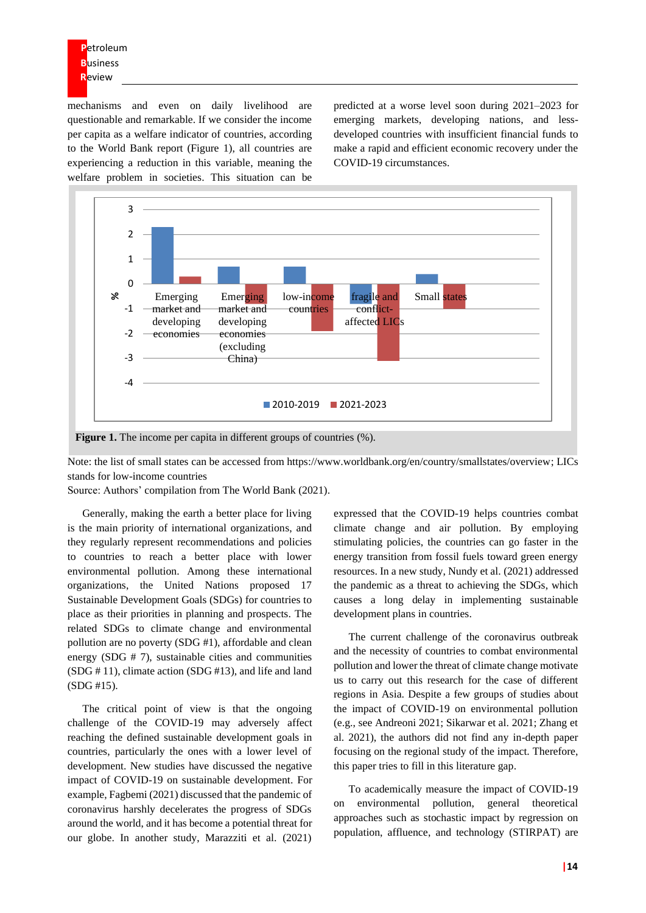**P**etroleum **B**usiness **R**eview

mechanisms and even on daily livelihood are questionable and remarkable. If we consider the income per capita as a welfare indicator of countries, according to the World Bank report (Figure 1), all countries are experiencing a reduction in this variable, meaning the welfare problem in societies. This situation can be

predicted at a worse level soon during 2021–2023 for emerging markets, developing nations, and lessdeveloped countries with insufficient financial funds to make a rapid and efficient economic recovery under the COVID-19 circumstances.



Note: the list of small states can be accessed from https://www.worldbank.org/en/country/smallstates/overview; LICs stands for low-income countries

Source: Authors' compilation from The World Bank (2021).

Generally, making the earth a better place for living is the main priority of international organizations, and they regularly represent recommendations and policies to countries to reach a better place with lower environmental pollution. Among these international organizations, the United Nations proposed 17 Sustainable Development Goals (SDGs) for countries to place as their priorities in planning and prospects. The related SDGs to climate change and environmental pollution are no poverty (SDG #1), affordable and clean energy (SDG # 7), sustainable cities and communities (SDG # 11), climate action (SDG #13), and life and land (SDG #15).

The critical point of view is that the ongoing challenge of the COVID-19 may adversely affect reaching the defined sustainable development goals in countries, particularly the ones with a lower level of development. New studies have discussed the negative impact of COVID-19 on sustainable development. For example, Fagbemi (2021) discussed that the pandemic of coronavirus harshly decelerates the progress of SDGs around the world, and it has become a potential threat for our globe. In another study, Marazziti et al. (2021)

expressed that the COVID-19 helps countries combat climate change and air pollution. By employing stimulating policies, the countries can go faster in the energy transition from fossil fuels toward green energy resources. In a new study, Nundy et al. (2021) addressed the pandemic as a threat to achieving the SDGs, which causes a long delay in implementing sustainable development plans in countries.

The current challenge of the coronavirus outbreak and the necessity of countries to combat environmental pollution and lower the threat of climate change motivate us to carry out this research for the case of different regions in Asia. Despite a few groups of studies about the impact of COVID-19 on environmental pollution (e.g., see Andreoni 2021; Sikarwar et al. 2021; Zhang et al. 2021), the authors did not find any in-depth paper focusing on the regional study of the impact. Therefore, this paper tries to fill in this literature gap.

To academically measure the impact of COVID-19 on environmental pollution, general theoretical approaches such as stochastic impact by regression on population, affluence, and technology (STIRPAT) are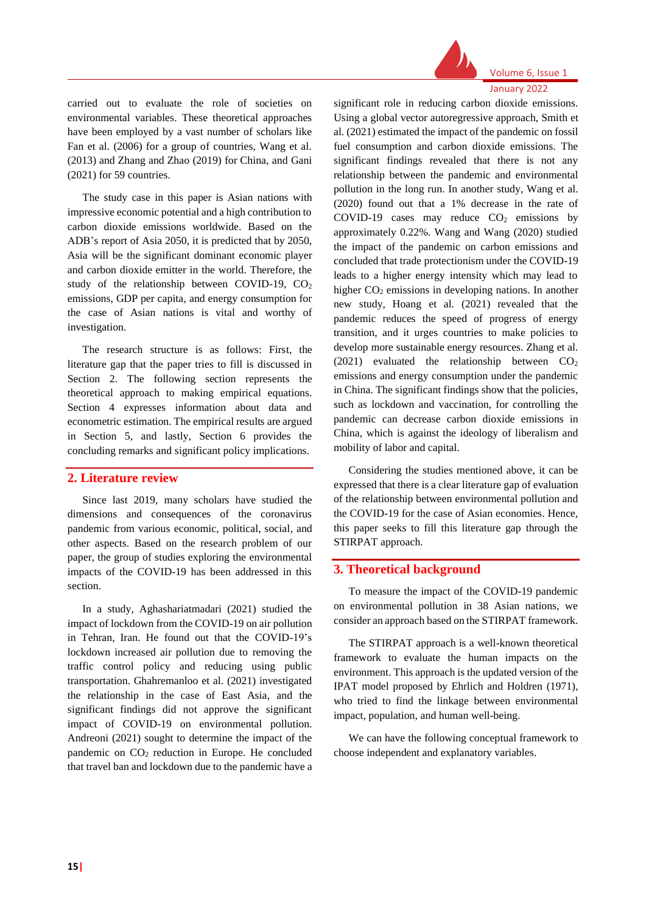

# Volume 6, Issue 1

January 2022

carried out to evaluate the role of societies on environmental variables. These theoretical approaches have been employed by a vast number of scholars like Fan et al. (2006) for a group of countries, Wang et al. (2013) and Zhang and Zhao (2019) for China, and Gani (2021) for 59 countries.

The study case in this paper is Asian nations with impressive economic potential and a high contribution to carbon dioxide emissions worldwide. Based on the ADB's report of Asia 2050, it is predicted that by 2050, Asia will be the significant dominant economic player and carbon dioxide emitter in the world. Therefore, the study of the relationship between COVID-19,  $CO<sub>2</sub>$ emissions, GDP per capita, and energy consumption for the case of Asian nations is vital and worthy of investigation.

The research structure is as follows: First, the literature gap that the paper tries to fill is discussed in Section 2. The following section represents the theoretical approach to making empirical equations. Section 4 expresses information about data and econometric estimation. The empirical results are argued in Section 5, and lastly, Section 6 provides the concluding remarks and significant policy implications.

### **2. Literature review**

Since last 2019, many scholars have studied the dimensions and consequences of the coronavirus pandemic from various economic, political, social, and other aspects. Based on the research problem of our paper, the group of studies exploring the environmental impacts of the COVID-19 has been addressed in this section.

In a study, Aghashariatmadari (2021) studied the impact of lockdown from the COVID-19 on air pollution in Tehran, Iran. He found out that the COVID-19's lockdown increased air pollution due to removing the traffic control policy and reducing using public transportation. Ghahremanloo et al. (2021) investigated the relationship in the case of East Asia, and the significant findings did not approve the significant impact of COVID-19 on environmental pollution. Andreoni (2021) sought to determine the impact of the pandemic on CO<sub>2</sub> reduction in Europe. He concluded that travel ban and lockdown due to the pandemic have a

significant role in reducing carbon dioxide emissions. Using a global vector autoregressive approach, Smith et al. (2021) estimated the impact of the pandemic on fossil fuel consumption and carbon dioxide emissions. The significant findings revealed that there is not any relationship between the pandemic and environmental pollution in the long run. In another study, Wang et al. (2020) found out that a 1% decrease in the rate of COVID-19 cases may reduce  $CO<sub>2</sub>$  emissions by approximately 0.22%. Wang and Wang (2020) studied the impact of the pandemic on carbon emissions and concluded that trade protectionism under the COVID-19 leads to a higher energy intensity which may lead to higher CO<sub>2</sub> emissions in developing nations. In another new study, Hoang et al. (2021) revealed that the pandemic reduces the speed of progress of energy transition, and it urges countries to make policies to develop more sustainable energy resources. Zhang et al. (2021) evaluated the relationship between  $CO<sub>2</sub>$ emissions and energy consumption under the pandemic in China. The significant findings show that the policies, such as lockdown and vaccination, for controlling the pandemic can decrease carbon dioxide emissions in China, which is against the ideology of liberalism and mobility of labor and capital.

Considering the studies mentioned above, it can be expressed that there is a clear literature gap of evaluation of the relationship between environmental pollution and the COVID-19 for the case of Asian economies. Hence, this paper seeks to fill this literature gap through the STIRPAT approach.

### **3. Theoretical background**

To measure the impact of the COVID-19 pandemic on environmental pollution in 38 Asian nations, we consider an approach based on the STIRPAT framework.

The STIRPAT approach is a well-known theoretical framework to evaluate the human impacts on the environment. This approach is the updated version of the IPAT model proposed by Ehrlich and Holdren (1971), who tried to find the linkage between environmental impact, population, and human well-being.

We can have the following conceptual framework to choose independent and explanatory variables.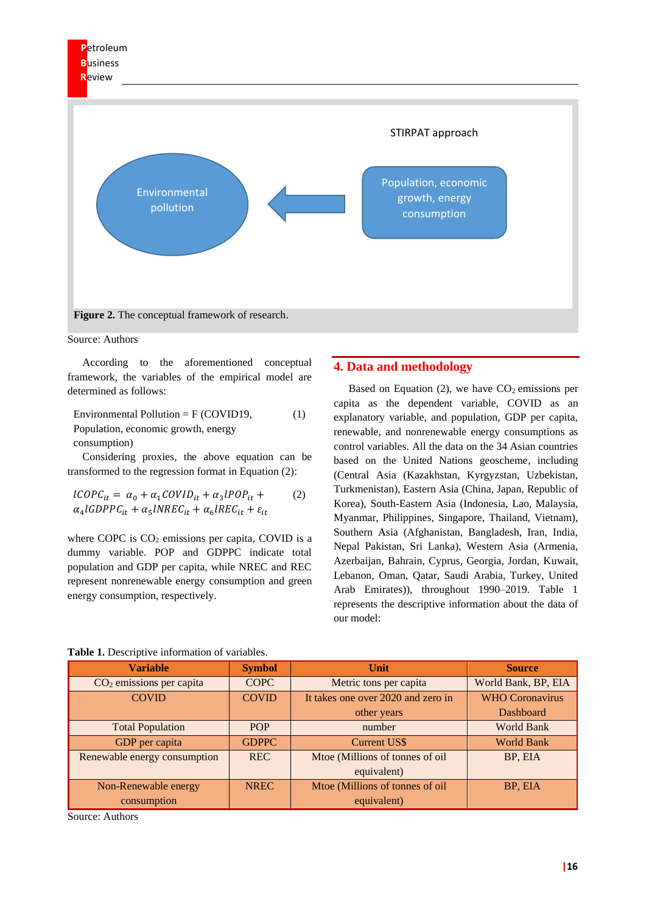

Source: Authors

According to the aforementioned conceptual framework, the variables of the empirical model are determined as follows:

Environmental Pollution = F (COVID19, Population, economic growth, energy consumption) (1)

Considering proxies, the above equation can be transformed to the regression format in Equation (2):

$$
ICOPC_{it} = \alpha_0 + \alpha_1 COVID_{it} + \alpha_3 IPOP_{it} +
$$
  
\n
$$
\alpha_4 IGDPPC_{it} + \alpha_5 INREC_{it} + \alpha_6IREC_{it} + \varepsilon_{it}
$$

where COPC is  $CO<sub>2</sub>$  emissions per capita, COVID is a dummy variable. POP and GDPPC indicate total population and GDP per capita, while NREC and REC represent nonrenewable energy consumption and green energy consumption, respectively.

#### **4. Data and methodology**

Based on Equation (2), we have  $CO<sub>2</sub>$  emissions per capita as the dependent variable, COVID as an explanatory variable, and population, GDP per capita, renewable, and nonrenewable energy consumptions as control variables. All the data on the 34 Asian countries based on the United Nations geoscheme, including (Central Asia (Kazakhstan, Kyrgyzstan, Uzbekistan, Turkmenistan), Eastern Asia (China, Japan, Republic of Korea), South-Eastern Asia (Indonesia, Lao, Malaysia, Myanmar, Philippines, Singapore, Thailand, Vietnam), Southern Asia (Afghanistan, Bangladesh, Iran, India, Nepal Pakistan, Sri Lanka), Western Asia (Armenia, Azerbaijan, Bahrain, Cyprus, Georgia, Jordan, Kuwait, Lebanon, Oman, Qatar, Saudi Arabia, Turkey, United Arab Emirates)), throughout 1990–2019. Table 1 represents the descriptive information about the data of our model:

| <b>Variable</b>              | <b>Symbol</b> | Unit                               | <b>Source</b>          |
|------------------------------|---------------|------------------------------------|------------------------|
| $CO2$ emissions per capita   | <b>COPC</b>   | Metric tons per capita             | World Bank, BP, EIA    |
| <b>COVID</b>                 | <b>COVID</b>  | It takes one over 2020 and zero in | <b>WHO Coronavirus</b> |
|                              |               | other years                        | Dashboard              |
| <b>Total Population</b>      | <b>POP</b>    | number                             | <b>World Bank</b>      |
| GDP per capita               | <b>GDPPC</b>  | <b>Current US\$</b>                | <b>World Bank</b>      |
| Renewable energy consumption | <b>REC</b>    | Mtoe (Millions of tonnes of oil    | BP, EIA                |
|                              |               | equivalent)                        |                        |
| Non-Renewable energy         | <b>NREC</b>   | Mtoe (Millions of tonnes of oil    | BP, EIA                |
| consumption                  |               | equivalent)                        |                        |

| Table 1. Descriptive information of variables. |
|------------------------------------------------|
|------------------------------------------------|

Source: Authors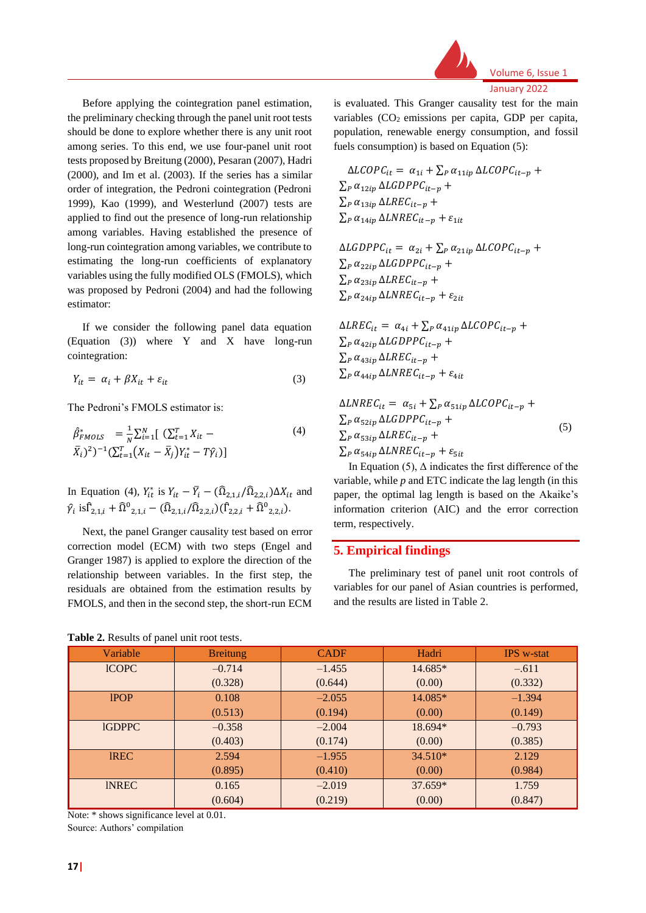Before applying the cointegration panel estimation, the preliminary checking through the panel unit root tests should be done to explore whether there is any unit root among series. To this end, we use four-panel unit root tests proposed by Breitung (2000), Pesaran (2007), Hadri (2000), and Im et al. (2003). If the series has a similar order of integration, the Pedroni cointegration (Pedroni 1999), Kao (1999), and Westerlund (2007) tests are applied to find out the presence of long-run relationship among variables. Having established the presence of long-run cointegration among variables, we contribute to estimating the long-run coefficients of explanatory variables using the fully modified OLS (FMOLS), which was proposed by Pedroni (2004) and had the following estimator:

If we consider the following panel data equation (Equation (3)) where Y and X have long-run cointegration:

$$
Y_{it} = \alpha_i + \beta X_{it} + \varepsilon_{it} \tag{3}
$$

The Pedroni's FMOLS estimator is:

$$
\hat{\beta}_{FMOLS}^{*} = \frac{1}{N} \sum_{i=1}^{N} \left[ \sum_{t=1}^{T} X_{it} - \bar{X}_{i} \right]^{2} - 1 \left( \sum_{t=1}^{T} (X_{it} - \bar{X}_{j}) Y_{it}^{*} - T \hat{\gamma}_{i} \right)
$$
\n
$$
(4)
$$

In Equation (4),  $Y_{it}^*$  is  $Y_{it} - \overline{Y}_i - (\widehat{\Omega}_{2,1,i}/\widehat{\Omega}_{2,2,i})\Delta X_{it}$  and  $\hat{\gamma}_i$  is  $\hat{\Gamma}_{2,1,i} + \hat{\Omega}^0_{2,1,i} - (\hat{\Omega}_{2,1,i}/\hat{\Omega}_{2,2,i}) (\hat{\Gamma}_{2,2,i} + \hat{\Omega}^0_{2,2,i}).$ 

Next, the panel Granger causality test based on error correction model (ECM) with two steps (Engel and Granger 1987) is applied to explore the direction of the relationship between variables. In the first step, the residuals are obtained from the estimation results by FMOLS, and then in the second step, the short-run ECM



January 2022

is evaluated. This Granger causality test for the main variables  $(CO<sub>2</sub>$  emissions per capita, GDP per capita, population, renewable energy consumption, and fossil fuels consumption) is based on Equation (5):

 $\Delta LCOPC_{it} = \alpha_{1i} + \sum_{P} \alpha_{11ip} \Delta LCOPC_{it-p} +$  $\sum_{P} \alpha_{12in} \Delta LGDPPC_{it-n} +$  $\sum_{P} \alpha_{13ip} \Delta LREC_{it-p} +$  $\sum_{P} \alpha_{14ip} \Delta L NRE C_{it-p} + \varepsilon_{1it}$ 

 $\Delta LGDPPC_{it} = \alpha_{2i} + \sum_{P} \alpha_{21ip} \Delta LCOPC_{it-p} +$  $\sum_{P} \alpha_{22in} \Delta LGDPPC_{it-n} +$  $\sum_{P} \alpha_{23ip} \Delta LREC_{it-n} +$  $\sum_{P} \alpha_{24ip} \Delta L NREG_{it-n} + \varepsilon_{2it}$ 

 $\Delta LREC_{it} = \alpha_{4i} + \sum_{P} \alpha_{41ip} \Delta LCOPC_{it-p} +$  $\sum_{P} \alpha_{42in} \Delta LGDPPC_{it-n} +$  $\sum_{P} \alpha_{43ip} \Delta LREC_{it-p} +$  $\sum_{P} \alpha_{44ip} \Delta L NREG_{it-p} + \varepsilon_{4it}$ 

 $\Delta L NREC_{it} = \alpha_{5i} + \sum_{P} \alpha_{51in} \Delta L COPC_{it-n} +$  $\sum_{P} \alpha_{52ip} \Delta LGDPPC_{it-p} +$  $\sum_{P} \alpha_{53in} \Delta LREC_{it-n} +$  $\sum_{P} \alpha_{54ip} \Delta L NREG_{it-p} + \varepsilon_{5it}$ (5)

In Equation (5),  $\Delta$  indicates the first difference of the variable, while *p* and ETC indicate the lag length (in this paper, the optimal lag length is based on the Akaike's information criterion (AIC) and the error correction term, respectively.

#### **5. Empirical findings**

The preliminary test of panel unit root controls of variables for our panel of Asian countries is performed, and the results are listed in Table 2.

| Variable      | <b>Breitung</b> | <b>CADF</b> | Hadri     | <b>IPS</b> w-stat |
|---------------|-----------------|-------------|-----------|-------------------|
| <b>ICOPC</b>  | $-0.714$        | $-1.455$    | 14.685*   | $-.611$           |
|               | (0.328)         | (0.644)     | (0.00)    | (0.332)           |
| <b>IPOP</b>   | 0.108           | $-2.055$    | 14.085*   | $-1.394$          |
|               | (0.513)         | (0.194)     | (0.00)    | (0.149)           |
| <b>IGDPPC</b> | $-0.358$        | $-2.004$    | 18.694*   | $-0.793$          |
|               | (0.403)         | (0.174)     | (0.00)    | (0.385)           |
| <b>IREC</b>   | 2.594           | $-1.955$    | $34.510*$ | 2.129             |
|               | (0.895)         | (0.410)     | (0.00)    | (0.984)           |
| <b>INREC</b>  | 0.165           | $-2.019$    | 37.659*   | 1.759             |
|               | (0.604)         | (0.219)     | (0.00)    | (0.847)           |

Note: \* shows significance level at 0.01. Source: Authors' compilation

**Table 2.** Results of panel unit root tests.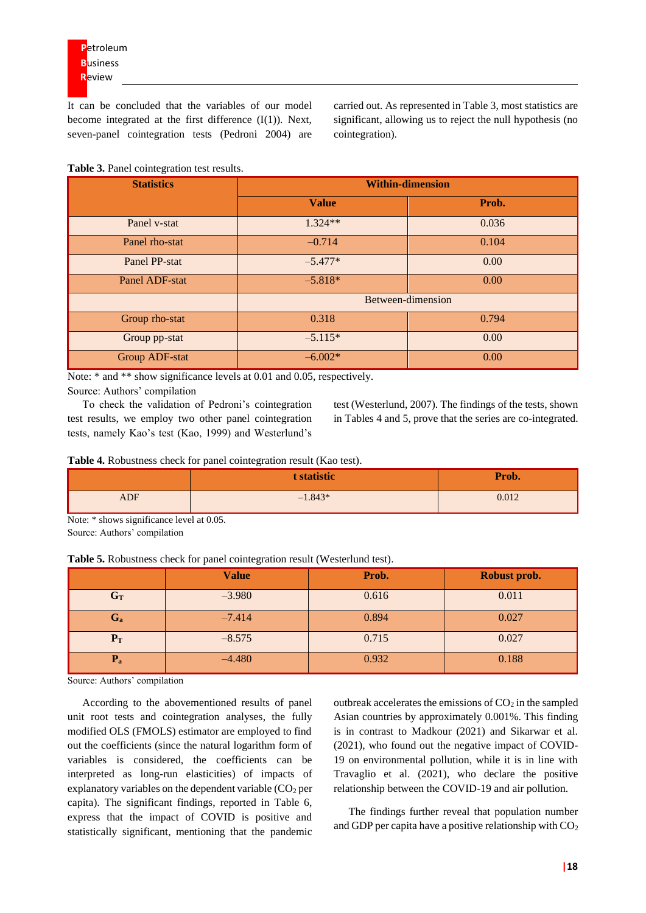It can be concluded that the variables of our model become integrated at the first difference  $(I(1))$ . Next, seven-panel cointegration tests (Pedroni 2004) are carried out. As represented in Table 3, most statistics are significant, allowing us to reject the null hypothesis (no cointegration).

**Table 3.** Panel cointegration test results.

| <b>Statistics</b> | <b>Within-dimension</b> |       |  |
|-------------------|-------------------------|-------|--|
|                   | <b>Value</b>            | Prob. |  |
| Panel v-stat      | $1.324**$               | 0.036 |  |
| Panel rho-stat    | $-0.714$                | 0.104 |  |
| Panel PP-stat     | $-5.477*$               | 0.00  |  |
| Panel ADF-stat    | $-5.818*$               | 0.00  |  |
|                   | Between-dimension       |       |  |
| Group rho-stat    | 0.318                   | 0.794 |  |
| Group pp-stat     | $-5.115*$               | 0.00  |  |
| Group ADF-stat    | $-6.002*$               | 0.00  |  |

Note:  $*$  and  $**$  show significance levels at 0.01 and 0.05, respectively.

Source: Authors' compilation

To check the validation of Pedroni's cointegration test results, we employ two other panel cointegration tests, namely Kao's test (Kao, 1999) and Westerlund's

test (Westerlund, 2007). The findings of the tests, shown in Tables 4 and 5, prove that the series are co-integrated.

**Table 4.** Robustness check for panel cointegration result (Kao test).

|            | t statistic | Prob. |
|------------|-------------|-------|
| <b>ADF</b> | $-1.843*$   | 0.012 |

Note: \* shows significance level at 0.05. Source: Authors' compilation

| Table 5. Robustness check for panel cointegration result (Westerlund test). |
|-----------------------------------------------------------------------------|
|-----------------------------------------------------------------------------|

|         | <b>Value</b> | Prob. | Robust prob. |
|---------|--------------|-------|--------------|
| $G_T$   | $-3.980$     | 0.616 | 0.011        |
| $G_{a}$ | $-7.414$     | 0.894 | 0.027        |
| $P_T$   | $-8.575$     | 0.715 | 0.027        |
| $P_{a}$ | $-4.480$     | 0.932 | 0.188        |

Source: Authors' compilation

According to the abovementioned results of panel unit root tests and cointegration analyses, the fully modified OLS (FMOLS) estimator are employed to find out the coefficients (since the natural logarithm form of variables is considered, the coefficients can be interpreted as long-run elasticities) of impacts of explanatory variables on the dependent variable  $(CO<sub>2</sub>$  per capita). The significant findings, reported in Table 6, express that the impact of COVID is positive and statistically significant, mentioning that the pandemic

outbreak accelerates the emissions of  $CO<sub>2</sub>$  in the sampled Asian countries by approximately 0.001%. This finding is in contrast to Madkour (2021) and Sikarwar et al. (2021), who found out the negative impact of COVID-19 on environmental pollution, while it is in line with Travaglio et al. (2021), who declare the positive relationship between the COVID-19 and air pollution.

The findings further reveal that population number and GDP per capita have a positive relationship with  $CO<sub>2</sub>$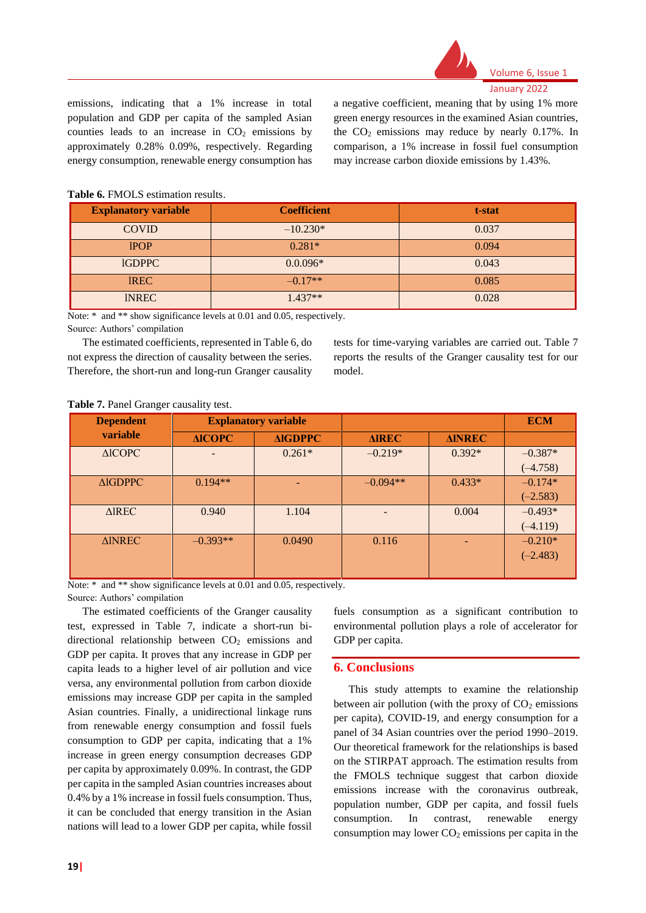

emissions, indicating that a 1% increase in total population and GDP per capita of the sampled Asian counties leads to an increase in  $CO<sub>2</sub>$  emissions by approximately 0.28% 0.09%, respectively. Regarding energy consumption, renewable energy consumption has a negative coefficient, meaning that by using 1% more green energy resources in the examined Asian countries, the  $CO<sub>2</sub>$  emissions may reduce by nearly 0.17%. In comparison, a 1% increase in fossil fuel consumption may increase carbon dioxide emissions by 1.43%.

| <b>Explanatory variable</b> | <b>Coefficient</b> | t-stat |
|-----------------------------|--------------------|--------|
| <b>COVID</b>                | $-10.230*$         | 0.037  |
| <b>IPOP</b>                 | $0.281*$           | 0.094  |
| <b>IGDPPC</b>               | $0.0.096*$         | 0.043  |
| <b>IREC</b>                 | $-0.17**$          | 0.085  |
| <b>INREC</b>                | $1.437**$          | 0.028  |

#### **Table 6.** FMOLS estimation results.

Note:  $*$  and  $**$  show significance levels at 0.01 and 0.05, respectively.

Source: Authors' compilation

The estimated coefficients, represented in Table 6, do not express the direction of causality between the series. Therefore, the short-run and long-run Granger causality tests for time-varying variables are carried out. Table 7 reports the results of the Granger causality test for our model.

#### **Table 7.** Panel Granger causality test.

| <b>Dependent</b>  | <b>Explanatory variable</b> |                |                 |               | <b>ECM</b> |
|-------------------|-----------------------------|----------------|-----------------|---------------|------------|
| variable          | <b>AICOPC</b>               | <b>AIGDPPC</b> | <b>AIREC</b>    | <b>AINREC</b> |            |
| $\triangle$ ICOPC | -                           | $0.261*$       | $-0.219*$       | $0.392*$      | $-0.387*$  |
|                   |                             |                |                 |               | $(-4.758)$ |
| <b>AIGDPPC</b>    | $0.194**$                   |                | $-0.094**$      | $0.433*$      | $-0.174*$  |
|                   |                             |                |                 |               | $(-2.583)$ |
| <b>AIREC</b>      | 0.940                       | 1.104          | $\qquad \qquad$ | 0.004         | $-0.493*$  |
|                   |                             |                |                 |               | $(-4.119)$ |
| <b>AINREC</b>     | $-0.393**$                  | 0.0490         | 0.116           |               | $-0.210*$  |
|                   |                             |                |                 |               | $(-2.483)$ |
|                   |                             |                |                 |               |            |

Note:  $*$  and  $**$  show significance levels at 0.01 and 0.05, respectively. Source: Authors' compilation

The estimated coefficients of the Granger causality test, expressed in Table 7, indicate a short-run bidirectional relationship between  $CO<sub>2</sub>$  emissions and GDP per capita. It proves that any increase in GDP per capita leads to a higher level of air pollution and vice versa, any environmental pollution from carbon dioxide emissions may increase GDP per capita in the sampled Asian countries. Finally, a unidirectional linkage runs from renewable energy consumption and fossil fuels consumption to GDP per capita, indicating that a 1% increase in green energy consumption decreases GDP per capita by approximately 0.09%. In contrast, the GDP per capita in the sampled Asian countries increases about 0.4% by a 1% increase in fossil fuels consumption. Thus, it can be concluded that energy transition in the Asian nations will lead to a lower GDP per capita, while fossil

fuels consumption as a significant contribution to environmental pollution plays a role of accelerator for GDP per capita.

### **6. Conclusions**

This study attempts to examine the relationship between air pollution (with the proxy of  $CO<sub>2</sub>$  emissions per capita), COVID-19, and energy consumption for a panel of 34 Asian countries over the period 1990–2019. Our theoretical framework for the relationships is based on the STIRPAT approach. The estimation results from the FMOLS technique suggest that carbon dioxide emissions increase with the coronavirus outbreak, population number, GDP per capita, and fossil fuels consumption. In contrast, renewable energy consumption may lower  $CO<sub>2</sub>$  emissions per capita in the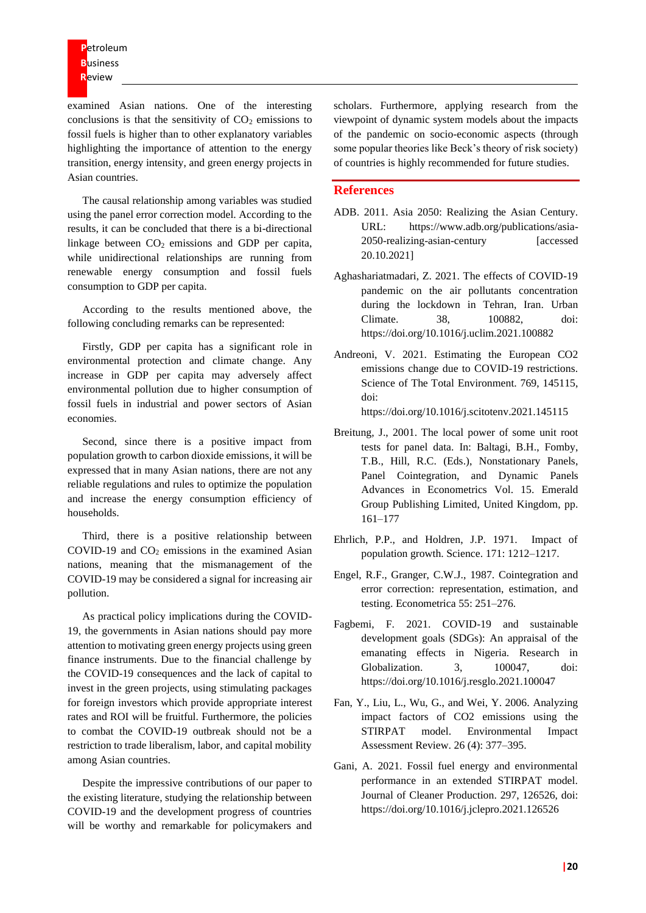examined Asian nations. One of the interesting conclusions is that the sensitivity of  $CO<sub>2</sub>$  emissions to fossil fuels is higher than to other explanatory variables highlighting the importance of attention to the energy transition, energy intensity, and green energy projects in Asian countries.

The causal relationship among variables was studied using the panel error correction model. According to the results, it can be concluded that there is a bi-directional linkage between  $CO<sub>2</sub>$  emissions and GDP per capita, while unidirectional relationships are running from renewable energy consumption and fossil fuels consumption to GDP per capita.

According to the results mentioned above, the following concluding remarks can be represented:

Firstly, GDP per capita has a significant role in environmental protection and climate change. Any increase in GDP per capita may adversely affect environmental pollution due to higher consumption of fossil fuels in industrial and power sectors of Asian economies.

Second, since there is a positive impact from population growth to carbon dioxide emissions, it will be expressed that in many Asian nations, there are not any reliable regulations and rules to optimize the population and increase the energy consumption efficiency of households.

Third, there is a positive relationship between COVID-19 and  $CO<sub>2</sub>$  emissions in the examined Asian nations, meaning that the mismanagement of the COVID-19 may be considered a signal for increasing air pollution.

As practical policy implications during the COVID-19, the governments in Asian nations should pay more attention to motivating green energy projects using green finance instruments. Due to the financial challenge by the COVID-19 consequences and the lack of capital to invest in the green projects, using stimulating packages for foreign investors which provide appropriate interest rates and ROI will be fruitful. Furthermore, the policies to combat the COVID-19 outbreak should not be a restriction to trade liberalism, labor, and capital mobility among Asian countries.

Despite the impressive contributions of our paper to the existing literature, studying the relationship between COVID-19 and the development progress of countries will be worthy and remarkable for policymakers and scholars. Furthermore, applying research from the viewpoint of dynamic system models about the impacts of the pandemic on socio-economic aspects (through some popular theories like Beck's theory of risk society) of countries is highly recommended for future studies.

#### **References**

- ADB. 2011. Asia 2050: Realizing the Asian Century. URL: https://www.adb.org/publications/asia-2050-realizing-asian-century [accessed 20.10.2021]
- Aghashariatmadari, Z. 2021. The effects of COVID-19 pandemic on the air pollutants concentration during the lockdown in Tehran, Iran. Urban Climate. 38, 100882, doi: https://doi.org/10.1016/j.uclim.2021.100882
- Andreoni, V. 2021. Estimating the European CO2 emissions change due to COVID-19 restrictions. Science of The Total Environment. 769, 145115, doi:

https://doi.org/10.1016/j.scitotenv.2021.145115

- Breitung, J., 2001. The local power of some unit root tests for panel data. In: Baltagi, B.H., Fomby, T.B., Hill, R.C. (Eds.), Nonstationary Panels, Panel Cointegration, and Dynamic Panels Advances in Econometrics Vol. 15. Emerald Group Publishing Limited, United Kingdom, pp. 161–177
- Ehrlich, P.P., and Holdren, J.P. 1971. Impact of population growth. Science. 171: 1212–1217.
- Engel, R.F., Granger, C.W.J., 1987. Cointegration and error correction: representation, estimation, and testing. Econometrica 55: 251–276.
- Fagbemi, F. 2021. COVID-19 and sustainable development goals (SDGs): An appraisal of the emanating effects in Nigeria. Research in Globalization. 3, 100047, doi: https://doi.org/10.1016/j.resglo.2021.100047
- Fan, Y., Liu, L., Wu, G., and Wei, Y. 2006. Analyzing impact factors of CO2 emissions using the STIRPAT model. Environmental Impact Assessment Review. 26 (4): 377–395.
- Gani, A. 2021. Fossil fuel energy and environmental performance in an extended STIRPAT model. Journal of Cleaner Production. 297, 126526, doi: https://doi.org/10.1016/j.jclepro.2021.126526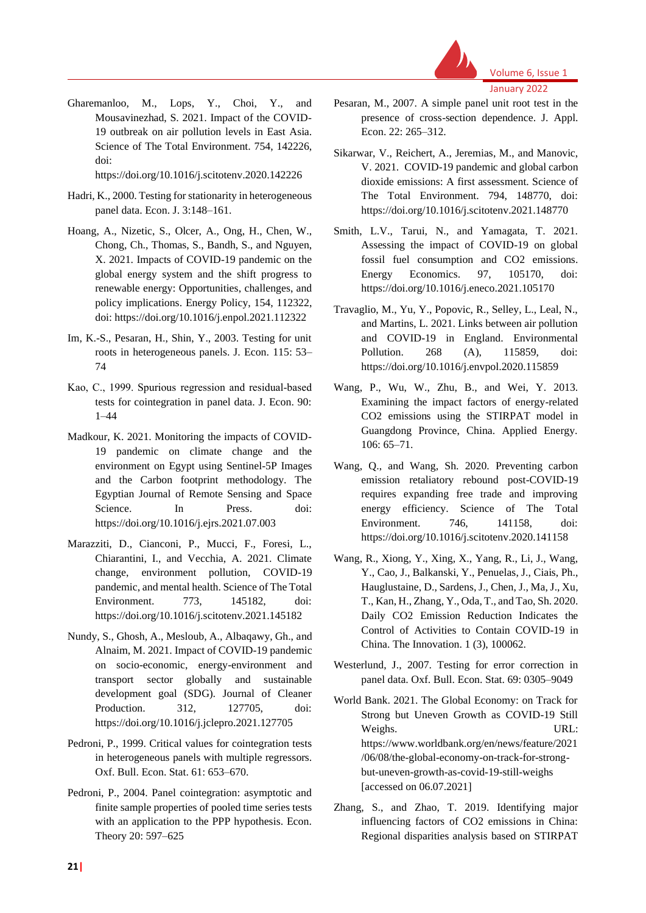

Volume 6, Issue 1

January 2022

Gharemanloo, M., Lops, Y., Choi, Y., and Mousavinezhad, S. 2021. Impact of the COVID-19 outbreak on air pollution levels in East Asia. Science of The Total Environment. 754, 142226, doi:

https://doi.org/10.1016/j.scitotenv.2020.142226

- Hadri, K., 2000. Testing for stationarity in heterogeneous panel data. Econ. J. 3:148–161.
- Hoang, A., Nizetic, S., Olcer, A., Ong, H., Chen, W., Chong, Ch., Thomas, S., Bandh, S., and Nguyen, X. 2021. Impacts of COVID-19 pandemic on the global energy system and the shift progress to renewable energy: Opportunities, challenges, and policy implications. Energy Policy, 154, 112322, doi: https://doi.org/10.1016/j.enpol.2021.112322
- Im, K.-S., Pesaran, H., Shin, Y., 2003. Testing for unit roots in heterogeneous panels. J. Econ. 115: 53– 74
- Kao, C., 1999. Spurious regression and residual‐based tests for cointegration in panel data. J. Econ. 90: 1–44
- Madkour, K. 2021. Monitoring the impacts of COVID-19 pandemic on climate change and the environment on Egypt using Sentinel-5P Images and the Carbon footprint methodology. The Egyptian Journal of Remote Sensing and Space Science. In Press. doi: https://doi.org/10.1016/j.ejrs.2021.07.003
- Marazziti, D., Cianconi, P., Mucci, F., Foresi, L., Chiarantini, I., and Vecchia, A. 2021. Climate change, environment pollution, COVID-19 pandemic, and mental health. Science of The Total Environment. 773, 145182, doi: https://doi.org/10.1016/j.scitotenv.2021.145182
- Nundy, S., Ghosh, A., Mesloub, A., Albaqawy, Gh., and Alnaim, M. 2021. Impact of COVID-19 pandemic on socio-economic, energy-environment and transport sector globally and sustainable development goal (SDG). Journal of Cleaner Production. 312, 127705, doi: https://doi.org/10.1016/j.jclepro.2021.127705
- Pedroni, P., 1999. Critical values for cointegration tests in heterogeneous panels with multiple regressors. Oxf. Bull. Econ. Stat. 61: 653–670.
- Pedroni, P., 2004. Panel cointegration: asymptotic and finite sample properties of pooled time series tests with an application to the PPP hypothesis. Econ. Theory 20: 597–625
- Pesaran, M., 2007. A simple panel unit root test in the presence of cross-section dependence. J. Appl. Econ. 22: 265–312.
- Sikarwar, V., Reichert, A., Jeremias, M., and Manovic, V. 2021. COVID-19 pandemic and global carbon dioxide emissions: A first assessment. Science of The Total Environment. 794, 148770, doi: https://doi.org/10.1016/j.scitotenv.2021.148770
- Smith, L.V., Tarui, N., and Yamagata, T. 2021. Assessing the impact of COVID-19 on global fossil fuel consumption and CO2 emissions. Energy Economics. 97, 105170, doi: https://doi.org/10.1016/j.eneco.2021.105170
- Travaglio, M., Yu, Y., Popovic, R., Selley, L., Leal, N., and Martins, L. 2021. Links between air pollution and COVID-19 in England. Environmental Pollution. 268 (A), 115859, doi: https://doi.org/10.1016/j.envpol.2020.115859
- Wang, P., Wu, W., Zhu, B., and Wei, Y. 2013. Examining the impact factors of energy-related CO2 emissions using the STIRPAT model in Guangdong Province, China. Applied Energy. 106: 65–71.
- Wang, Q., and Wang, Sh. 2020. Preventing carbon emission retaliatory rebound post-COVID-19 requires expanding free trade and improving energy efficiency. Science of The Total Environment. 746, 141158, doi: https://doi.org/10.1016/j.scitotenv.2020.141158
- Wang, R., Xiong, Y., Xing, X., Yang, R., Li, J., Wang, Y., Cao, J., Balkanski, Y., Penuelas, J., Ciais, Ph., Hauglustaine, D., Sardens, J., Chen, J., Ma, J., Xu, T., Kan, H., Zhang, Y., Oda, T., and Tao, Sh. 2020. Daily CO2 Emission Reduction Indicates the Control of Activities to Contain COVID-19 in China. The Innovation. 1 (3), 100062.
- Westerlund, J., 2007. Testing for error correction in panel data. Oxf. Bull. Econ. Stat. 69: 0305–9049
- World Bank. 2021. The Global Economy: on Track for Strong but Uneven Growth as COVID-19 Still Weighs. URL: https://www.worldbank.org/en/news/feature/2021 /06/08/the-global-economy-on-track-for-strongbut-uneven-growth-as-covid-19-still-weighs [accessed on 06.07.2021]
- Zhang, S., and Zhao, T. 2019. Identifying major influencing factors of CO2 emissions in China: Regional disparities analysis based on STIRPAT